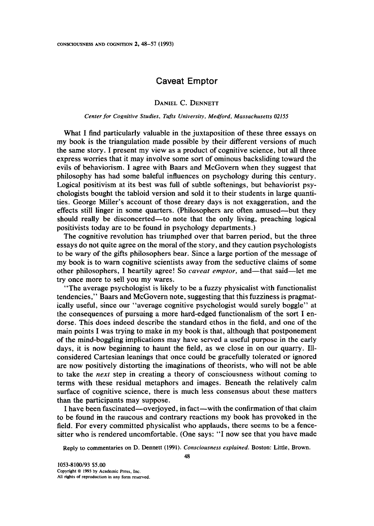## Caveat Emptor

## DANIEL C. DENNETT

## *Center for Cognitive Studies, Tufts University, Medford, Massachusetts 02155*

What I find particularly valuable in the juxtaposition of these three essays on my book is the triangulation made possible by their different versions of much the same story. 1 present my view as a product of cognitive science, but all three express worries that it may involve some sort of ominous backsliding toward the evils of behaviorism. 1 agree with Baars and McGovern when they suggest that philosophy has had some baleful influences on psychology during this century. Logical positivism at its best was full of subtle softenings, but behaviorist psychologists bought the tabloid version and sold it to their students in large quantities. George Miller's account of those dreary days is not exaggeration, and the effects still linger in some quarters. (Philosophers are often amused-but they should really be disconcerted—to note that the only living, preaching logical positivists today are to be found in psychology departments.)

The cognitive revolution has triumphed over that barren period, but the three essays do not quite agree on the moral of the story, and they caution psychologists to be wary of the gifts philosophers bear. Since a large portion of the message of my book is to warn cognitive scientists away from the seductive claims of some other philosophers, 1 heartily agree! So *caveat emptor,* and-that said-let me try once more to sell you my wares.

"The average psychologist is likely to be a fuzzy physicalist with functionalist tendencies," Baars and McGovern note, suggesting that this fuzziness is pragmatically useful, since our "average cognitive psychologist would surely boggle" at the consequences of pursuing a more hard-edged functionalism of the sort 1 endorse. This does indeed describe the standard ethos in the field, and one of the main points 1 was trying to make in my book is that, although that postponement of the mind-boggling implications may have served a useful purpose in the early days, it is now beginning to haunt the field, as we close in on our quarry. Illconsidered Cartesian leanings that once could be gracefully tolerated or ignored are now positively distorting the imaginations of theorists, who will not be able to take the *next* step in creating a theory of consciousness without coming to terms with these residual metaphors and images. Beneath the relatively calm surface of cognitive science, there is much less consensus about these matters than the participants may suppose.

I have been fascinated—overjoyed, in fact—with the confirmation of that claim to be found in the raucous and contrary reactions my book has provoked in the field. For every committed physicalist who applauds, there seems to be a fencesitter who is rendered uncomfortable. (One says: "I now see that you have made

Reply to commentaries on D. Dennett (1991). *Consciousness explained.* Boston: Little, Brown.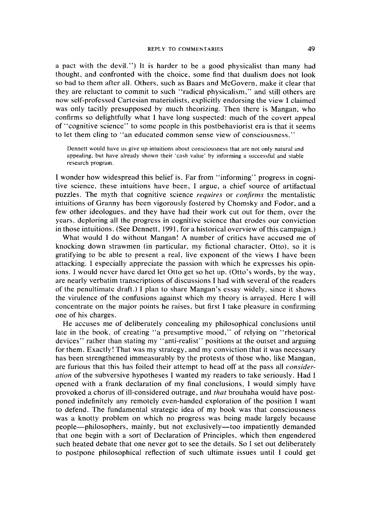a pact with the devil.") It is harder to be a good physicalist than many had thought, and confronted with the choice, some find that dualism does not look so bad to them after all. Others, such as Baars and McGovern, make it clear that they are reluctant to commit to such "radical physicalism," and still others are now self-professed Cartesian materialists, explicitly endorsing the view I claimed was only tacitly presupposed by much theorizing. Then there is Mangan, who confirms so delightfully what I have long suspected: much of the covert appeal of "cognitive science" to some people in this postbehaviorist era is that it seems to let them cling to "an educated common sense view of consciousness."

Dennett would have us give up intuitions about consciousness that are not only natural and appealing. but have already shown their "cash value' by informing a successful and stable research program.

I wonder how widespread this belief is. Far from "informing" progress in cognitive science, these intuitions have been, I argue, a chief source of artifactual puzzles. The myth that cognitive science *requires* or *confirms* the mentalistic intuitions of Granny has been vigorously fostered by Chomsky and Fodor, and a few other ideologues, and they have had their work cut out for them, over the years, deploring all the progress in cognitive science that erodes our conviction in those intuitions. (See Dennett, 1991, for a historical overview ofthis campaign.)

What would I do without Mangan! A number of critics have accused me of knocking down strawmen (in particular, my fictional character, Otto), so it is gratifying to be able to present a real, live exponent of the views I have been attacking. I especially appreciate the passion with which he expresses his opinions. I would never have dared let Otto get so het up. (Otto's words, by the way, are nearly verbatim transcriptions of discussions I had with several of the readers of the penultimate draft.) I plan to share Mangan's essay widely, since it shows the virulence of the confusions against which my theory is arrayed. Here I will concentrate on the major points he raises, but first I take pleasure in confirming one of his charges.

He accuses me of deliberately concealing my philosophical conclusions until late in the book, of creating "a presumptive mood," of relying on "rhetorical devices" rather than stating my "anti-realist" positions at the outset and arguing for them. Exactly! That was my strategy, and my conviction that it was necessary has been strengthened immeasurably by the protests of those who, like Mangan, are furious that this has foiled their attempt to head off at the pass all *consideration* of the subversive hypotheses I wanted my readers to take seriously. Had I opened with a frank declaration of my final conclusions, I would simply have provoked a chorus of ill-considered outrage, and *that* brouhaha would have postponed indefinitely any remotely even-handed exploration of the position I want to defend. The fundamental strategic idea of my book was that consciousness was a knotty problem on which no progress was being made largely because people-philosophers, mainly, but not exclusively-too impatiently demanded that one begin with a sort of Declaration of Principles, which then engendered such heated debate that one never got to see the details. So I set out deliberately to postpone philosophical reflection of such ultimate issues until I could get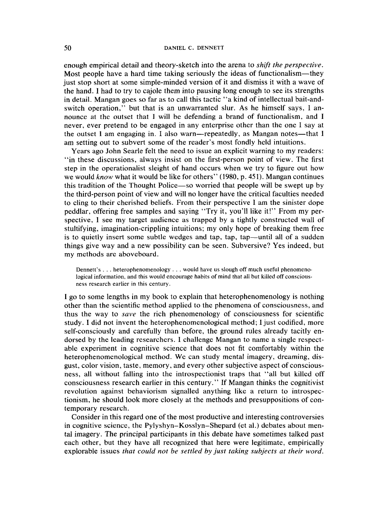enough empirical detail and theory-sketch into the arena to *shift the perspective.* Most people have a hard time taking seriously the ideas of functionalism—they just stop short at some simple-minded version of it and dismiss it with a wave of the hand. I had to try to cajole them into pausing long enough to see its strengths in detail. Mangan goes so far as to call this tactic "a kind of intellectual bait-andswitch operation," but that is an unwarranted slur. As he himself says, I announce at the outset that I will be defending a brand of functionalism, and I never, ever pretend to be engaged in any enterprise other than the one I say at the outset I am engaging in. I also warn—repeatedly, as Mangan notes—that I am setting out to subvert some of the reader's most fondly held intuitions.

Years ago John Searle felt the need to issue an explicit warning to my readers: "in these discussions, always insist on the first-person point of view. The first step in the operationalist sleight of hand occurs when we try to figure out how we would *know* what it would be like for others" (1980, p. 451). Mangan continues this tradition of the Thought Police-so worried that people will be swept up by the third-person point of view and will no longer have the critical faculties needed to cling to their cherished beliefs. From their perspective I am the sinister dope peddlar, offering free samples and saying "Try it, you'll like it!" From my perspective, I see my target audience as trapped by a tightly constructed wall of stultifying, imagination-crippling intuitions; my only hope of breaking them free is to quietly insert some subtle wedges and tap, tap, tap-until all of a sudden things give way and a new possibility can be seen. Subversive? Yes indeed, but my methods are aboveboard.

Dennett's ... heterophenomenology ... would have us slough off much useful phenomenological information, and this would encourage habits of mind that all but killed off consciousness research earlier in this century.

I go to some lengths in my book to explain that heterophenomenology is nothing other than the scientific method applied to the phenomena of consciousness, and thus the way to *save* the rich phenomenology of consciousness for scientific study. I did not invent the heterophenomenological method; I just codified, more self-consciously and carefully than before, the ground rules already tacitly endorsed by the leading researchers. I challenge Mangan to name a single respectable experiment in cognitive science that does not fit comfortably within the heterophenomenological method. We can study mental imagery, dreaming, disgust, color vision, taste, memory, and every other subjective aspect of consciousness, all without falling into the introspectionist traps that "all but killed off consciousness research earlier in this century." If Mangan thinks the cognitivist revolution against behaviorism signalled anything like a return to introspectionisrn, he should look more closely at the methods and presuppositions of contemporary research.

Consider in this regard one of the most productive and interesting controversies in cognitive science, the Pylyshyn-Kosslyn-Shepard (et al.) debates about mental imagery. The principal participants in this debate have sometimes talked past each other, but they have all recognized that here were legitimate, empirically explorable issues *that could not be settled by just taking subjects at their word.*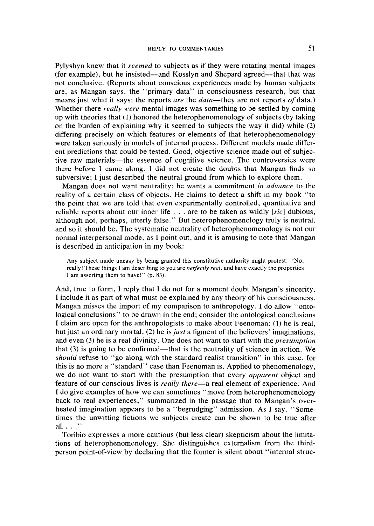Pylyshyn knew that it *seemed* to subjects as if they were rotating mental images (for example), but he insisted—and Kosslyn and Shepard agreed—that that was not conclusive. (Reports about conscious experiences made by human subjects are, as Mangan says, the "primary data" in consciousness research, but that means just what it says: the reports *are* the *data-they* are not reports *of* data.) Whether there *really were* mental images was something to be settled by coming up with theories that (1) honored the heterophenomenology of subjects (by taking on the burden of explaining why it seemed to subjects the way it did) while (2) differing precisely on which features or elements of that heterophenomenology were taken seriously in models of internal process. Different models made different predictions that could be tested. Good, objective science made out of subjective raw materials—the essence of cognitive science. The controversies were there before I came along. I did not create the doubts that Mangan finds so subversive; I just described the neutral ground from which to explore them.

Mangan does not want neutrality; he wants a commitment *in advance* to the reality of a certain class of objects. He claims to detect a shift in my book "to the point that we are told that even experimentally controlled, quantitative and reliable reports about our inner life ... are to be taken as wildly *[sic]* dubious, although not, perhaps, utterly false." But heterophenomenology truly is neutral, and so it should be. The systematic neutrality of heterophenomenology is not our normal interpersonal mode, as I point out, and it is amusing to note that Mangan is described in anticipation in my book:

Any subject made uneasy by being granted this constitutive authority might protest: "No. really! These things I am describing to you are *perfectly real.* and have exactly the properties I am asserting them to have!" (p. 83).

And, true to form, I reply that I do not for a moment doubt Mangan's sincerity. I include it as part of what must be explained by any theory of his consciousness. Mangan misses the import of my comparison to anthropology. I do allow "ontological conclusions" to be drawn in the end; consider the ontological conclusions I claim are open for the anthropologists to make about Feenoman: (1) he is real, but just an ordinary mortal, (2) he is *just* a figment of the believers' imaginations, and even (3) he is a real divinity. One does not want to start with the *presumption* that  $(3)$  is going to be confirmed—that is the neutrality of science in action. We *should* refuse to "go along with the standard realist transition" in this case, for this is no more a "standard" case than Feenoman is. Applied to phenomenology, we do not want to start with the presumption that every *apparent* object and feature of our conscious lives is *really there-a* real element of experience. And I do give examples of how we can sometimes "move from heterophenomenology back to real experiences," summarized in the passage that to Mangan's overheated imagination appears to be a "begrudging" admission. As I say, "Sometimes the unwitting fictions we subjects create can be shown to be true after all ..."

Toribio expresses a more cautious (but less clear) skepticism about the limitations of heterophenornenology. She distinguishes externalism from the thirdperson point-of-view by declaring that the former is silent about "internal struc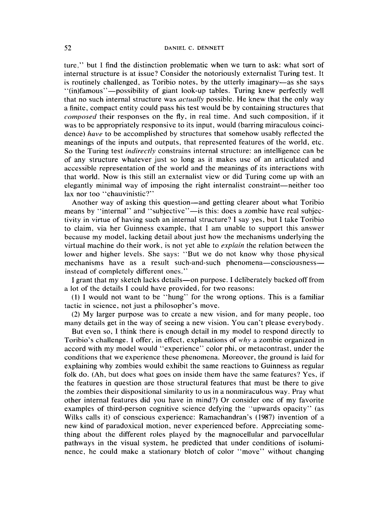ture ," but I find the distinction problematic when we turn to ask: what sort of internal structure is at issue? Consider the notoriously externalist Turing test. It is routinely challenged, as Toribio notes, by the utterly imaginary-as she says "(in)famous"-possibility of giant look-up tables. Turing knew perfectly well that no such internal structure was *actually* possible. He knew that the only way a finite, compact entity could pass his test would be by containing structures that *composed* their responses on the fly, in real time. And such composition, if it was to be appropriately responsive to its input, would (barring miraculous coincidence) *have* to be accomplished by structures that somehow usably reflected the meanings of the inputs and outputs, that represented features of the world, etc. So the Turing test *indirectly* constrains internal structure: an intelligence can be of any structure whatever just so long as it makes use of an articulated and accessible representation of the world and the meanings of its interactions with that world. Now is this still an externalist view or did Turing come up with an elegantly minimal way of imposing the right internalist constraint-neither too lax nor too "chauvinistic?"

Another way of asking this question-and getting clearer about what Toribio means by "internal" and "subjective"-is this: does a zombie have real subjectivity in virtue of having such an internal structure? I say yes, but I take Toribio to claim, via her Guinness example, that I am unable to support this answer because my model, lacking detail about just how the mechanisms underlying the virtual machine do their work, is not yet able to *explain* the relation between the lower and higher levels. She says: "But we do not know why those physical mechanisms have as a result such-and-such phenomena—consciousness instead of completely different ones."

I grant that my sketch lacks details-on purpose. I deliberately backed offfrom a lot of the details I could have provided, for two reasons:

(1) I would not want to be "hung" for the wrong options. This is a familiar tactic in science, not just a philosopher's move.

(2) My larger purpose was to create a new vision, and for many people, too many details get in the way of seeing a new vision. You can't please everybody.

But even so, I think there is enough detail in my model to respond directly to Toribio's challenge. I offer, in effect, explanations of *why* a zombie organized in accord with my model would "experience" color phi, or metacontrast, under the conditions that we experience these phenomena. Moreover, the ground is laid for explaining why zombies would exhibit the same reactions to Guinness as regular folk do. (Ah, but does what goes on inside them have the same features? Yes, if the features in question are those structural features that must be there to give the zombies their dispositional similarity to us in a nonmiraculous way. Pray what other internal features did you have in mind?) Or consider one of my favorite examples of third-person cognitive science defying the "upwards opacity" (as Wilks calls it) of conscious experience: Ramachandran's (1987) invention of a new kind of paradoxical motion, never experienced before. Appreciating something about the different roles played by the magnocellular and parvocellular pathways in the visual system, he predicted that under conditions of isoluminence , he could make a stationary blotch of color "move" without changing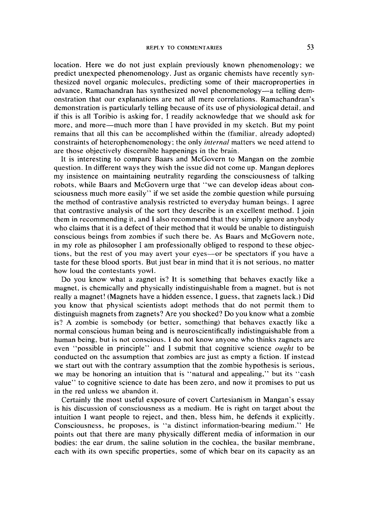location. Here we do not just explain previously known phenomenology; we predict unexpected phenomenology. Just as organic chemists have recently synthesized novel organic molecules, predicting some of their macroproperties in advance, Ramachandran has synthesized novel phenomenology-a telling demonstration that our explanations are not all mere correlations. Ramachandran's demonstration is particularly telling because of its use of physiological detail, and if this is all Toribio is asking for, I readily acknowledge that we should ask for more, and more-much more than I have provided in my sketch. But my point remains that all this can be accomplished within the (familiar, already adopted) constraints of heterophenomenology; the only *internal* matters we need attend to are those objectively discernible happenings in the brain.

It is interesting to compare Baars and McGovern to Mangan on the zombie question. In different ways they wish the issue did not come up. Mangan deplores my insistence on maintaining neutrality regarding the consciousness of talking robots, while Baars and McGovern urge that "we can develop ideas about consciousness much more easily" if we set aside the zombie question while pursuing the method of contrastive analysis restricted to everyday human beings. I agree that contrastive analysis of the sort they describe is an excellent method. I join them in recommending it, and I also recommend that they simply ignore anybody who claims that it is a defect of their method that it would be unable to distinguish conscious beings from zombies if such there be. As Baars and McGovern note, in my role as philosopher I am professionally obliged to respond to these objections, but the rest of you may avert your eyes-or be spectators if you have a taste for these blood sports. But just bear in mind that it is not serious, no matter how loud the contestants yowl.

Do you know what a zagnet is? It is something that behaves exactly like a magnet, is chemically and physically indistinguishable from a magnet, but is not really a magnet! (Magnets have a hidden essence, I guess, that zagnets lack.) Did you know that physical scientists adopt methods that do not permit them to distinguish magnets from zagnets? Are you shocked? Do you know what a zombie is? A zombie is somebody (or better, something) that behaves exactly like a normal conscious human being and is neuroscientifically indistinguishable from a human being, but is not conscious. I do not know anyone who thinks zagnets are even "possible in principle" and I submit that cognitive science *ought* to be conducted on the assumption that zombies are just as empty a fiction. If instead we start out with the contrary assumption that the zombie hypothesis is serious, we may be honoring an intuition that is "natural and appealing," but its "cash value" to cognitive science to date has been zero, and now it promises to put us in the red unless we abandon it.

Certainly the most useful exposure of covert Cartesianism in Mangan's essay is his discussion of consciousness as a medium. He is right on target about the intuition I want people to reject, and then, bless him, he defends it explicitly. Consciousness, he proposes, is "a distinct information-bearing medium." He points out that there are many physically different media of information in our bodies: the ear drum, the saline solution in the cochlea, the basilar membrane, each with its own specific properties, some of which bear on its capacity as an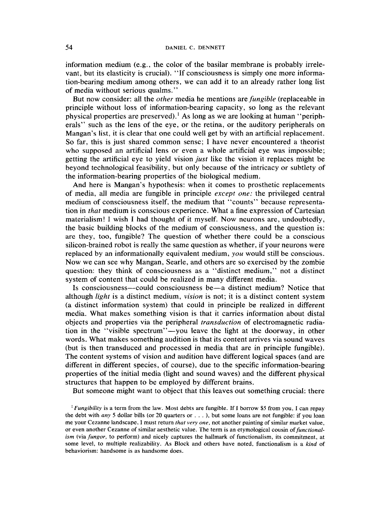information medium (e.g., the color of the basilar membrane is probably irrelevant, but its elasticity is crucial). "If consciousness is simply one more information-bearing medium among others, we can add it to an already rather long list of media without serious qualms."

But now consider: all the *other* media he mentions are *fungible* (replaceable in principle without loss of information-bearing capacity, so long as the relevant physical properties are preserved).' As long as we are looking at human "peripherals" such as the lens of the eye, or the retina, or the auditory peripherals on Mangan's list, it is clear that one could well get by with an artificial replacement. So far, this is just shared common sense; I have never encountered a theorist who supposed an artificial lens or even a whole artificial eye was impossible; getting the artificial eye to yield vision *just* like the vision it replaces might be beyond technological feasibility, but only because of the intricacy or subtlety of the information-bearing properties of the biological medium.

And here is Mangan's hypothesis: when it comes to prosthetic replacements of media, all media are fungible in principle *except one:* the privileged central medium of consciousness itself, the medium that "counts" because representation in *that* medium is conscious experience. What a fine expression of Cartesian materialism! I wish I had thought of it myself. Now neurons are, undoubtedly, the basic building blocks of the medium of consciousness, and the question is: are they, too, fungible? The question of whether there could be a conscious silicon-brained robot is really the same question as whether, if your neurons were replaced by an informationally equivalent medium, *you* would still be conscious. Now we can see why Mangan, Searle, and others are so exercised by the zombie question: they think of consciousness as a "distinct medium," not a distinct system of content that could be realized in many different media.

Is consciousness-could consciousness be-a distinct medium? Notice that although *light* is a distinct medium, *vision* is not; it is a distinct content system (a distinct information system) that could in principle be realized in different media. What makes something vision is that it carries information about distal objects and properties via the peripheral *transduction* of electromagnetic radiation in the "visible spectrum"-you leave the light at the doorway, in other words. What makes something audition is that its content arrives via sound waves (but is then transduced and processed in media that are in principle fungible). The content systems of vision and audition have different logical spaces (and are different in different species, of course), due to the specific information-bearing properties of the initial media (light and sound waves) and the different physical structures that happen to be employed by different brains.

But someone might want to object that this leaves out something crucial: there

<sup>&</sup>lt;sup>1</sup> *Fungibility* is a term from the law. Most debts are fungible. If I borrow \$5 from you, I can repay the debt with *any* 5 dollar bills (or 20 quarters or ... ), but some loans are not fungible: if you loan me your Cezanne landscape, I must return *that very one,* not another painting of similar market value, or even another Cezanne of similar aesthetic value. The term is an etymological cousin of *Junctionalism* (via *fungor,* to perform) and nicely captures the hallmark of functionalism, its commitment, at some level, to multiple realizability. As Block and others have noted, functionalism is a *kind* of behaviorism: handsome is as handsome does.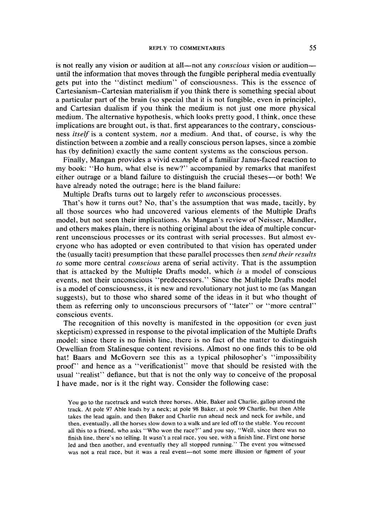is not really any vision or audition at all—not any *conscious* vision or audition until the information that moves through the fungible peripheral media eventually gets put into the "distinct medium" of consciousness. This is the essence of Cartesianism-Cartesian materialism if you think there is something special about a particular part of the brain (so special that it is not fungible, even in principle), and Cartesian dualism if you think the medium is not just one more physical medium. The alternative hypothesis, which looks pretty good, I think, once these implications are brought out, is that, first appearances to the contrary, consciousness *itself* is a content system, *not* a medium. And that, of course, is why the distinction between a zombie and a really conscious person lapses, since a zombie has (by definition) exactly the same content systems as the conscious person.

Finally, Mangan provides a vivid example of a familiar Janus-faced reaction to my book: "Ho hum, what else is new?" accompanied by remarks that manifest either outrage or a bland failure to distinguish the crucial theses-or both! We have already noted the outrage; here is the bland failure:

Multiple Drafts turns out to largely refer to unconscious processes.

That's how it turns out? No, that's the assumption that was made, tacitly, by all those sources who had uncovered various elements of the Multiple Drafts model, but not seen their implications. As Mangan's review of Neisser, Mandler, and others makes plain, there is nothing original about the idea of multiple concurrent unconscious processes or its contrast with serial processes. But almost everyone who has adopted or even contributed to that vision has operated under the (usually tacit) presumption that these parallel processes then *send their results to* some more central *conscious* arena of serial activity. That is the assumption that is attacked by the Multiple Drafts model, which *is* a model of conscious events, not their unconscious "predecessors." Since the Multiple Drafts model is a model of consciousness, it is new and revolutionary not just to me (as Mangan suggests), but to those who shared some of the ideas in it but who thought of them as referring only to unconscious precursors of "later" or "more central" conscious events.

The recognition of this novelty is manifested in the opposition (or even just skepticism) expressed in response to the pivotal implication of the Multiple Drafts model: since there is no finish line, there is no fact of the matter to distinguish Orwellian from Stalinesque content revisions. Almost no one finds this to be old hat! Baars and McGovern see this as a typical philosopher's "impossibility proof" and hence as a "verificationist" move that should be resisted with the usual "realist" defiance, but that is not the only way to conceive of the proposal I have made, nor is it the right way. Consider the following case:

You go to the racetrack and watch three horses. Able. Baker and Charlie, gallop around the track. At pole 97 Able leads by a neck; at pole 98 Baker, at pole 99 Charlie, but then Able takes the lead again, and then Baker and Charlie run ahead neck and neck for awhile, and then, eventually, all the horses slow down to a walk and are led off to the stable. You recount all this to a friend, who asks "Who won the race?" and you say, "Well, since there was no finish line, there's no telling. It wasn't a real race, you see, with a finish line. First one horse led and then another, and eventually they all stopped running." The event you witnessed was not a real race, but it was a real event-not some mere illusion or figment of your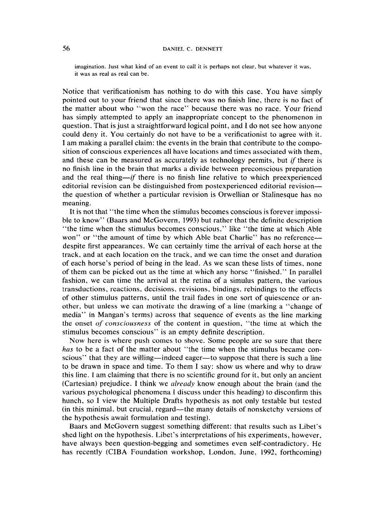imagination. Just what kind of an event to call it is perhaps not clear. but whatever it was. it was as real as real can be.

Notice that verificationism has nothing to do with this case. You have simply pointed out to your friend that since there was no finish line, there is no fact of the matter about who "won the race" because there was no race. Your friend has simply attempted to apply an inappropriate concept to the phenomenon in question. That is just a straightforward logical point, and I do not see how anyone could deny it. You certainly do not have to be a verificationist to agree with it. I am making a parallel claim: the events in the brain that contribute to the composition of conscious experiences all have locations and times associated with them, and these can be measured as accurately as technology permits, but if there is no finish line in the brain that marks a divide between preconscious preparation and the real thing—if there is no finish line relative to which preexperienced editorial revision can be distinguished from postexperienced editorial revision the question of whether a particular revision is Orwellian or Stalinesque has no meaning.

It is not that "the time when the stimulus becomes conscious is forever impossible to know" (Baars and McGovern, 1993) but rather that the definite description "the time when the stimulus becomes conscious," like "the time at which Able won" or "the amount of time by which Able beat Charlie" has no referencedespite first appearances. We can certainly time the arrival of each horse at the track, and at each location on the track, and we can time the onset and duration of each horse's period of being in the lead. As we scan these lists of times, none of them can be picked out as the time at which any horse "finished." In parallel fashion, we can time the arrival at the retina of a simulus pattern, the various transductions, reactions, decisions, revisions, bindings, rebindings to the effects of other stimulus patterns, until the trail fades in one sort of quiescence or another, but unless we can motivate the drawing of a line (marking a "change of media" in Mangan's terms) across that sequence of events as the line marking the onset *of consciousness* of the content in question, "the time at which the stimulus becomes conscious" is an empty definite description.

Now here is where push comes to shove. Some people are so sure that there *has* to be a fact of the matter about "the time when the stimulus became conscious" that they are willing—indeed eager—to suppose that there is such a line to be drawn in space and time. To them I say: show us where and why to draw this line. I am claiming that there is no scientific ground for it, but only an ancient (Cartesian) prejudice. I think we *already* know enough about the brain (and the various psychological phenomena I discuss under this heading) to disconfirm this hunch, so I view the Multiple Drafts hypothesis as not only testable but tested (in this minimal, but crucial, regard—the many details of nonsketchy versions of the hypothesis await formulation and testing).

Baars and McGovern suggest something different: that results such as Libel's shed light on the hypothesis. Libet's interpretations of his experiments, however, have always been question-begging and sometimes even self-contradictory. He has recently (CIBA Foundation workshop, London, June, 1992, forthcoming)